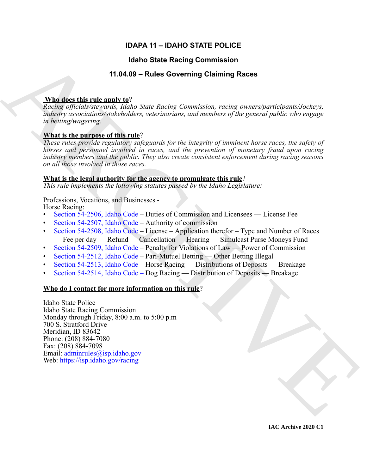# **IDAPA 11 – IDAHO STATE POLICE**

## **Idaho State Racing Commission**

# **11.04.09 – Rules Governing Claiming Races**

## **Who does this rule apply to**?

*Racing officials/stewards, Idaho State Racing Commission, racing owners/participants/Jockeys, industry associations/stakeholders, veterinarians, and members of the general public who engage in betting/wagering.*

# **What is the purpose of this rule**?

*These rules provide regulatory safeguards for the integrity of imminent horse races, the safety of horses and personnel involved in races, and the prevention of monetary fraud upon racing industry members and the public. They also create consistent enforcement during racing seasons on all those involved in those races.* 

## **What is the legal authority for the agency to promulgate this rule**?

*This rule implements the following statutes passed by the Idaho Legislature:*

## Professions, Vocations, and Businesses -

Horse Racing:

- Section 54-2506, Idaho Code Duties of Commission and Licensees License Fee
- Section 54-2507, Idaho Code Authority of commission
- Section 54-2508, Idaho Code License Application therefor Type and Number of Races — Fee per day — Refund — Cancellation — Hearing — Simulcast Purse Moneys Fund
- Section 54-2509, Idaho Code Penalty for Violations of Law Power of Commission
- Section 54-2512, Idaho Code Pari-Mutuel Betting Other Betting Illegal
- Section 54-2513, Idaho Code Horse Racing Distributions of Deposits Breakage
- Section 54-2514, Idaho Code Dog Racing Distribution of Deposits Breakage

## **Who do I contact for more information on this rule**?

**14246 State Recinq [C](https://legislature.idaho.gov/statutesrules/idstat/Title54/T54CH25/SECT54-2506/)ommission**<br>
1426.09 - Rules Governing Claiming Races<br>
1426.09 - Rules Coverning Claiming Races<br>
1426.09 - Rules Coverning Claiming Races<br>
1426.09 - Rules (and State Recinq Commission, rating concertip Idaho State Police Idaho State Racing Commission Monday through Friday, 8:00 a.m. to 5:00 p.m 700 S. Stratford Drive Meridian, ID 83642 Phone: (208) 884-7080 Fax: (208) 884-7098 Email: adminrules@isp.idaho.gov Web: https://isp.idaho.gov/racing

**IAC Archive 2020 C1**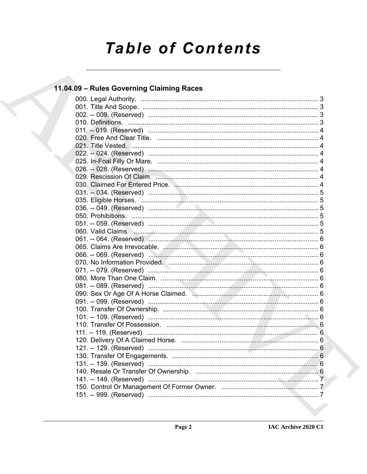# **Table of Contents**

# 11.04.09 - Rules Governing Claiming Races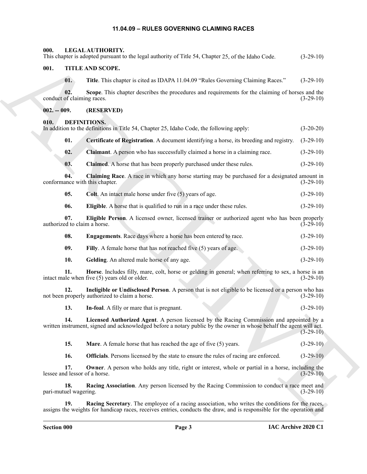## <span id="page-2-26"></span><span id="page-2-25"></span><span id="page-2-11"></span><span id="page-2-10"></span><span id="page-2-9"></span><span id="page-2-8"></span><span id="page-2-7"></span><span id="page-2-6"></span>**11.04.09 – RULES GOVERNING CLAIMING RACES**

<span id="page-2-24"></span><span id="page-2-23"></span><span id="page-2-22"></span><span id="page-2-21"></span><span id="page-2-20"></span><span id="page-2-19"></span><span id="page-2-18"></span><span id="page-2-17"></span><span id="page-2-16"></span><span id="page-2-15"></span><span id="page-2-14"></span><span id="page-2-13"></span><span id="page-2-12"></span><span id="page-2-5"></span><span id="page-2-4"></span><span id="page-2-3"></span><span id="page-2-2"></span><span id="page-2-1"></span><span id="page-2-0"></span>

| 000.                                  | LEGAL AUTHORITY.<br>This chapter is adopted pursuant to the legal authority of Title 54, Chapter 25, of the Idaho Code.                                                                                                   | $(3-29-10)$                 |
|---------------------------------------|---------------------------------------------------------------------------------------------------------------------------------------------------------------------------------------------------------------------------|-----------------------------|
| 001.                                  | TITLE AND SCOPE.                                                                                                                                                                                                          |                             |
| 01.                                   | Title. This chapter is cited as IDAPA 11.04.09 "Rules Governing Claiming Races."                                                                                                                                          | $(3-29-10)$                 |
| 02.<br>conduct of claiming races.     | Scope. This chapter describes the procedures and requirements for the claiming of horses and the                                                                                                                          | $(3-29-10)$                 |
| $002. - 009.$                         | (RESERVED)                                                                                                                                                                                                                |                             |
| DEFINITIONS.<br>010.                  | In addition to the definitions in Title 54, Chapter 25, Idaho Code, the following apply:                                                                                                                                  | $(3-20-20)$                 |
| 01.                                   | Certificate of Registration. A document identifying a horse, its breeding and registry.                                                                                                                                   | $(3-29-10)$                 |
| 02.                                   | <b>Claimant</b> . A person who has successfully claimed a horse in a claiming race.                                                                                                                                       | $(3-29-10)$                 |
| 03.                                   | Claimed. A horse that has been properly purchased under these rules.                                                                                                                                                      | $(3-29-10)$                 |
| 04.<br>conformance with this chapter. | Claiming Race. A race in which any horse starting may be purchased for a designated amount in                                                                                                                             | $(3-29-10)$                 |
| 05.                                   | Colt. An intact male horse under five (5) years of age.                                                                                                                                                                   | $(3-29-10)$                 |
| 06.                                   | Eligible. A horse that is qualified to run in a race under these rules.                                                                                                                                                   | $(3-29-10)$                 |
| 07.<br>authorized to claim a horse.   | Eligible Person. A licensed owner, licensed trainer or authorized agent who has been properly                                                                                                                             | $(\bar{3} - 2\bar{9} - 10)$ |
| 08.                                   | Engagements. Race days where a horse has been entered to race.                                                                                                                                                            | $(3-29-10)$                 |
| 09.                                   | Filly. A female horse that has not reached five (5) years of age.                                                                                                                                                         | $(3-29-10)$                 |
| 10.                                   | Gelding. An altered male horse of any age.                                                                                                                                                                                | $(3-29-10)$                 |
| 11.                                   | Horse. Includes filly, mare, colt, horse or gelding in general; when referring to sex, a horse is an<br>intact male when five (5) years old or older.                                                                     | $(3-29-10)$                 |
| 12.                                   | Ineligible or Undisclosed Person. A person that is not eligible to be licensed or a person who has<br>not been properly authorized to claim a horse.                                                                      | $(3-29-10)$                 |
| 13.                                   | In-foal. A filly or mare that is pregnant.                                                                                                                                                                                | $(3-29-10)$                 |
| 14.                                   | Licensed Authorized Agent. A person licensed by the Racing Commission and appointed by a<br>written instrument, signed and acknowledged before a notary public by the owner in whose behalf the agent will act.           | $(3-29-10)$                 |
| 15.                                   | <b>Mare.</b> A female horse that has reached the age of five (5) years.                                                                                                                                                   | $(3-29-10)$                 |
| 16.                                   | <b>Officials</b> . Persons licensed by the state to ensure the rules of racing are enforced.                                                                                                                              | $(3-29-10)$                 |
| 17.<br>lessee and lessor of a horse.  | <b>Owner.</b> A person who holds any title, right or interest, whole or partial in a horse, including the                                                                                                                 | $(3-29-10)$                 |
| 18.<br>pari-mutuel wagering.          | Racing Association. Any person licensed by the Racing Commission to conduct a race meet and                                                                                                                               | $(3-29-10)$                 |
| 19.                                   | Racing Secretary. The employee of a racing association, who writes the conditions for the races,<br>assigns the weights for handicap races, receives entries, conducts the draw, and is responsible for the operation and |                             |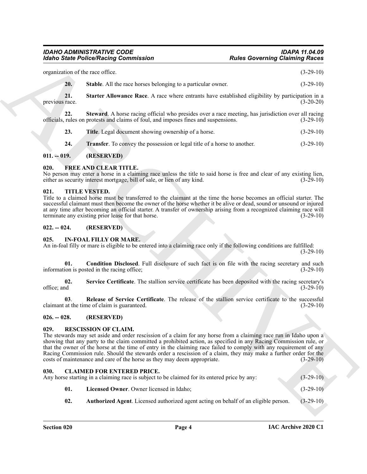#### <span id="page-3-12"></span><span id="page-3-11"></span>*IDAHO ADMINISTRATIVE CODE IDAPA 11.04.09 Idaho State Police/Racing Commission*

|                       | <b>Idaho State Police/Racing Commission</b>                                                                                                                                                                                                                                                                                                                                                                                                                                                                                                                                                 | <b>Rules Governing Claiming Races</b> |
|-----------------------|---------------------------------------------------------------------------------------------------------------------------------------------------------------------------------------------------------------------------------------------------------------------------------------------------------------------------------------------------------------------------------------------------------------------------------------------------------------------------------------------------------------------------------------------------------------------------------------------|---------------------------------------|
|                       | organization of the race office.                                                                                                                                                                                                                                                                                                                                                                                                                                                                                                                                                            | $(3-29-10)$                           |
| 20.                   | Stable. All the race horses belonging to a particular owner.                                                                                                                                                                                                                                                                                                                                                                                                                                                                                                                                | $(3-29-10)$                           |
| 21.<br>previous race. | Starter Allowance Race. A race where entrants have established eligibility by participation in a                                                                                                                                                                                                                                                                                                                                                                                                                                                                                            | $(3-20-20)$                           |
| 22.                   | Steward. A horse racing official who presides over a race meeting, has jurisdiction over all racing<br>officials, rules on protests and claims of foul, and imposes fines and suspensions.                                                                                                                                                                                                                                                                                                                                                                                                  | $(3-29-10)$                           |
| 23.                   | Title. Legal document showing ownership of a horse.                                                                                                                                                                                                                                                                                                                                                                                                                                                                                                                                         | $(3-29-10)$                           |
| 24.                   | <b>Transfer</b> . To convey the possession or legal title of a horse to another.                                                                                                                                                                                                                                                                                                                                                                                                                                                                                                            | $(3-29-10)$                           |
| $011. - 019.$         | (RESERVED)                                                                                                                                                                                                                                                                                                                                                                                                                                                                                                                                                                                  |                                       |
| 020.                  | <b>FREE AND CLEAR TITLE.</b><br>No person may enter a horse in a claiming race unless the title to said horse is free and clear of any existing lien,<br>either as security interest mortgage, bill of sale, or lien of any kind.                                                                                                                                                                                                                                                                                                                                                           | $(3-29-10)$                           |
| 021.                  | <b>TITLE VESTED.</b><br>Title to a claimed horse must be transferred to the claimant at the time the horse becomes an official starter. The<br>successful claimant must then become the owner of the horse whether it be alive or dead, sound or unsound or injured<br>at any time after becoming an official starter. A transfer of ownership arising from a recognized claiming race will<br>terminate any existing prior lease for that horse.                                                                                                                                           | $(3-29-10)$                           |
| $022. - 024.$         | (RESERVED)                                                                                                                                                                                                                                                                                                                                                                                                                                                                                                                                                                                  |                                       |
| 025.                  | <b>IN-FOAL FILLY OR MARE.</b><br>An in-foal filly or mare is eligible to be entered into a claiming race only if the following conditions are fulfilled:                                                                                                                                                                                                                                                                                                                                                                                                                                    | $(3-29-10)$                           |
| 01.                   | Condition Disclosed. Full disclosure of such fact is on file with the racing secretary and such                                                                                                                                                                                                                                                                                                                                                                                                                                                                                             |                                       |
|                       | information is posted in the racing office;                                                                                                                                                                                                                                                                                                                                                                                                                                                                                                                                                 | $(3-29-10)$                           |
| 02.<br>office; and    | Service Certificate. The stallion service certificate has been deposited with the racing secretary's                                                                                                                                                                                                                                                                                                                                                                                                                                                                                        |                                       |
| 03.                   | Release of Service Certificate. The release of the stallion service certificate to the successful<br>claimant at the time of claim is guaranteed.                                                                                                                                                                                                                                                                                                                                                                                                                                           | $(3-29-10)$<br>$(3-29-10)$            |
| $026. - 028.$         | (RESERVED)                                                                                                                                                                                                                                                                                                                                                                                                                                                                                                                                                                                  |                                       |
| 029.                  | <b>RESCISSION OF CLAIM.</b><br>The stewards may set aside and order rescission of a claim for any horse from a claiming race run in Idaho upon a<br>showing that any party to the claim committed a prohibited action, as specified in any Racing Commission rule, or<br>that the owner of the horse at the time of entry in the claiming race failed to comply with any requirement of any<br>Racing Commission rule. Should the stewards order a rescission of a claim, they may make a further order for the<br>costs of maintenance and care of the horse as they may deem appropriate. | $(3-29-10)$                           |
| 030.                  | <b>CLAIMED FOR ENTERED PRICE.</b><br>Any horse starting in a claiming race is subject to be claimed for its entered price by any:                                                                                                                                                                                                                                                                                                                                                                                                                                                           | $(3-29-10)$                           |
| 01.                   | Licensed Owner. Owner licensed in Idaho;                                                                                                                                                                                                                                                                                                                                                                                                                                                                                                                                                    | $(3-29-10)$                           |

## <span id="page-3-15"></span><span id="page-3-14"></span><span id="page-3-13"></span><span id="page-3-0"></span>**011. -- 019. (RESERVED)**

## <span id="page-3-16"></span><span id="page-3-1"></span>**020. FREE AND CLEAR TITLE.**

## <span id="page-3-22"></span><span id="page-3-2"></span>**021. TITLE VESTED.**

## <span id="page-3-3"></span>**022. -- 024. (RESERVED)**

#### <span id="page-3-20"></span><span id="page-3-18"></span><span id="page-3-17"></span><span id="page-3-4"></span>**025. IN-FOAL FILLY OR MARE.**

## <span id="page-3-19"></span><span id="page-3-5"></span>**026. -- 028. (RESERVED)**

## <span id="page-3-21"></span><span id="page-3-6"></span>**029. RESCISSION OF CLAIM.**

## <span id="page-3-10"></span><span id="page-3-9"></span><span id="page-3-8"></span><span id="page-3-7"></span>**030. CLAIMED FOR ENTERED PRICE.** Any horse starting in a claiming race is subject to be claimed for its entered price by any: (3-29-10) **01. Licensed Owner**. Owner licensed in Idaho; (3-29-10)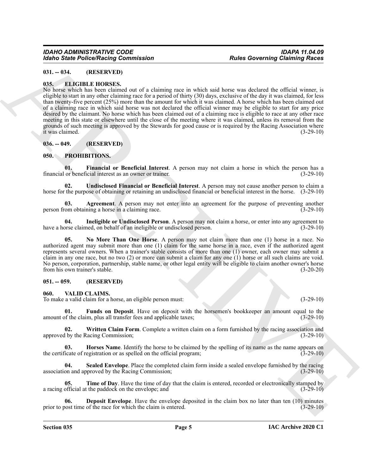## <span id="page-4-0"></span>**031. -- 034. (RESERVED)**

## <span id="page-4-6"></span><span id="page-4-1"></span>**035. ELIGIBLE HORSES.**

Moind Since Police Nearly Governingston<br>
16. The Children Contents of the same spectral was a spectral of the same spectral during the same spectral of the same spectral of the same spectral of the same spectral of the sa No horse which has been claimed out of a claiming race in which said horse was declared the official winner, is eligible to start in any other claiming race for a period of thirty (30) days, exclusive of the day it was claimed, for less than twenty-five percent (25%) more than the amount for which it was claimed. A horse which has been claimed out of a claiming race in which said horse was not declared the official winner may be eligible to start for any price desired by the claimant. No horse which has been claimed out of a claiming race is eligible to race at any other race meeting in this state or elsewhere until the close of the meeting where it was claimed, unless its removal from the grounds of such meeting is approved by the Stewards for good cause or is required by the Racing Association where it was claimed. (3-29-10)

#### <span id="page-4-2"></span>**036. -- 049. (RESERVED)**

## <span id="page-4-7"></span><span id="page-4-3"></span>**050. PROHIBITIONS.**

<span id="page-4-9"></span>**01. Financial or Beneficial Interest**. A person may not claim a horse in which the person has a financial or beneficial interest as an owner or trainer. (3-29-10)

<span id="page-4-12"></span>**02. Undisclosed Financial or Beneficial Interest**. A person may not cause another person to claim a horse for the purpose of obtaining or retaining an undisclosed financial or beneficial interest in the horse. (3-29-10)

<span id="page-4-8"></span>**03. Agreement**. A person may not enter into an agreement for the purpose of preventing another person from obtaining a horse in a claiming race. (3-29-10)

<span id="page-4-10"></span>**04. Ineligible or Undisclosed Person**. A person may not claim a horse, or enter into any agreement to have a horse claimed, on behalf of an ineligible or undisclosed person. (3-29-10)

<span id="page-4-11"></span>**05. No More Than One Horse**. A person may not claim more than one (1) horse in a race. No authorized agent may submit more than one (1) claim for the same horse in a race, even if the authorized agent represents several owners. When a trainer's stable consists of more than one (1) owner, each owner may submit a claim in any one race, but no two (2) or more can submit a claim for any one (1) horse or all such claims are void. No person, corporation, partnership, stable name, or other legal entity will be eligible to claim another owner's horse from his own trainer's stable. (3-20-20)

## <span id="page-4-4"></span>**051. -- 059. (RESERVED)**

#### <span id="page-4-13"></span><span id="page-4-5"></span>**060. VALID CLAIMS.**

To make a valid claim for a horse, an eligible person must: (3-29-10)

<span id="page-4-15"></span>**01. Funds on Deposit**. Have on deposit with the horsemen's bookkeeper an amount equal to the amount of the claim, plus all transfer fees and applicable taxes; (3-29-10)

<span id="page-4-19"></span>**02. Written Claim Form**. Complete a written claim on a form furnished by the racing association and approved by the Racing Commission; (3-29-10) (3-29-10)

<span id="page-4-16"></span>**03. Horses Name**. Identify the horse to be claimed by the spelling of its name as the name appears on the certificate of registration or as spelled on the official program; (3-29-10)

<span id="page-4-17"></span>**04. Sealed Envelope**. Place the completed claim form inside a sealed envelope furnished by the racing association and approved by the Racing Commission; (3-29-10)

<span id="page-4-18"></span>**05. Time of Day**. Have the time of day that the claim is entered, recorded or electronically stamped by a racing official at the paddock on the envelope; and (3-29-10)

<span id="page-4-14"></span>**Deposit Envelope.** Have the envelope deposited in the claim box no later than ten (10) minutes prior to post time of the race for which the claim is entered. (3-29-10)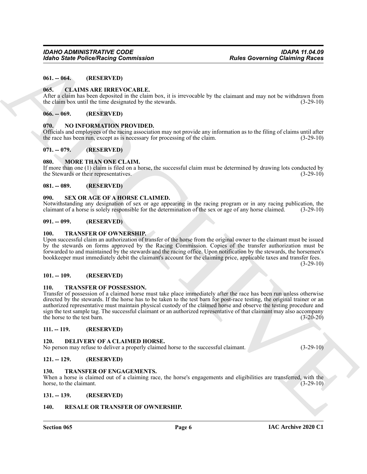#### <span id="page-5-0"></span>**061. -- 064. (RESERVED)**

#### <span id="page-5-18"></span><span id="page-5-1"></span>**065. CLAIMS ARE IRREVOCABLE.**

After a claim has been deposited in the claim box, it is irrevocable by the claimant and may not be withdrawn from the claim box until the time designated by the stewards. (3-29-10)

#### <span id="page-5-2"></span>**066. -- 069. (RESERVED)**

#### <span id="page-5-21"></span><span id="page-5-3"></span>**070. NO INFORMATION PROVIDED.**

Officials and employees of the racing association may not provide any information as to the filing of claims until after the race has been run, except as is necessary for processing of the claim. (3-29-10)

## <span id="page-5-4"></span>**071. -- 079. (RESERVED)**

#### <span id="page-5-20"></span><span id="page-5-5"></span>**080. MORE THAN ONE CLAIM.**

If more than one (1) claim is filed on a horse, the successful claim must be determined by drawing lots conducted by the Stewards or their representatives. (3-29-10) (3-29-10)

#### <span id="page-5-6"></span>**081. -- 089. (RESERVED)**

#### <span id="page-5-23"></span><span id="page-5-7"></span>**090. SEX OR AGE OF A HORSE CLAIMED.**

Notwithstanding any designation of sex or age appearing in the racing program or in any racing publication, the claimant of a horse is solely responsible for the determination of the sex or age of any horse claimed. (3-29-10)

#### <span id="page-5-8"></span>**091. -- 099. (RESERVED)**

#### <span id="page-5-25"></span><span id="page-5-9"></span>**100. TRANSFER OF OWNERSHIP.**

Upon successful claim an authorization of transfer of the horse from the original owner to the claimant must be issued by the stewards on forms approved by the Racing Commission. Copies of the transfer authorization must be forwarded to and maintained by the stewards and the racing office. Upon notification by the stewards, the horsemen's bookkeeper must immediately debit the claimant's account for the claiming price, applicable taxes and transfer fees.

 $(3-29-10)$ 

#### <span id="page-5-10"></span>**101. -- 109. (RESERVED)**

#### <span id="page-5-26"></span><span id="page-5-11"></span>**110. TRANSFER OF POSSESSION.**

**Each Collect Poisso New York 11 (A)** (1993)<br>
16-19 (1994) C. (1995) C. (1995) C. (1995) C. (1995) C. (1995) C. (1996) C. (1997) C. (1997) C. (1997) C. (1997) C. (1997) C. (1997) C. (1997) C. (1997) C. (1997) C. (1997) C. Transfer of possession of a claimed horse must take place immediately after the race has been run unless otherwise directed by the stewards. If the horse has to be taken to the test barn for post-race testing, the original trainer or an authorized representative must maintain physical custody of the claimed horse and observe the testing procedure and sign the test sample tag. The successful claimant or an authorized representative of that claimant may also accompany the horse to the test barn. (3-20-20)

#### <span id="page-5-12"></span>**111. -- 119. (RESERVED)**

#### <span id="page-5-19"></span><span id="page-5-13"></span>**DELIVERY OF A CLAIMED HORSE.**

No person may refuse to deliver a properly claimed horse to the successful claimant. (3-29-10)

#### <span id="page-5-14"></span>**121. -- 129. (RESERVED)**

#### <span id="page-5-24"></span><span id="page-5-15"></span>**130. TRANSFER OF ENGAGEMENTS.**

When a horse is claimed out of a claiming race, the horse's engagements and eligibilities are transferred, with the horse, to the claimant. (3-29-10)

## <span id="page-5-16"></span>**131. -- 139. (RESERVED)**

#### <span id="page-5-22"></span><span id="page-5-17"></span>**140. RESALE OR TRANSFER OF OWNERSHIP.**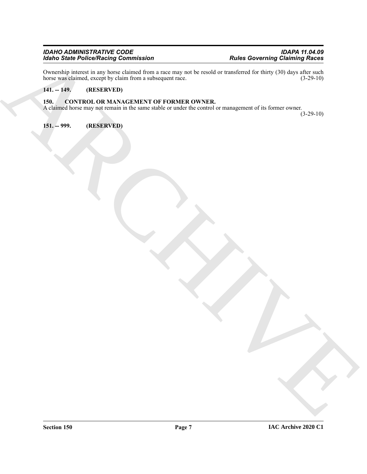## *IDAHO ADMINISTRATIVE CODE IDAPA 11.04.09 Idaho State Police/Racing Commission Rules Governing Claiming Races*

ARCHIVE Ownership interest in any horse claimed from a race may not be resold or transferred for thirty (30) days after such horse was claimed, except by claim from a subsequent race. (3-29-10) horse was claimed, except by claim from a subsequent race.

## <span id="page-6-0"></span>**141. -- 149. (RESERVED)**

## <span id="page-6-3"></span><span id="page-6-1"></span>**150. CONTROL OR MANAGEMENT OF FORMER OWNER.**

A claimed horse may not remain in the same stable or under the control or management of its former owner. (3-29-10)

<span id="page-6-2"></span>**151. -- 999. (RESERVED)**